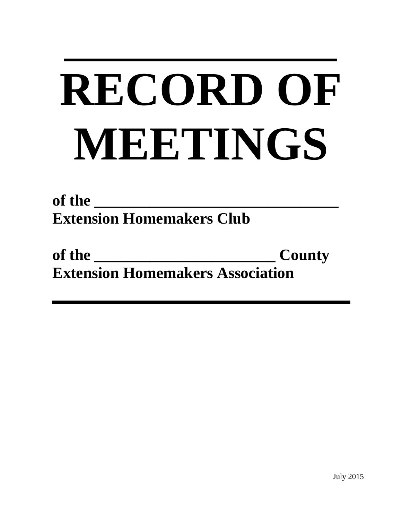# **RECORD OF MEETINGS**

**of the \_\_\_\_\_\_\_\_\_\_\_\_\_\_\_\_\_\_\_\_\_\_\_\_\_\_\_\_\_\_\_ Extension Homemakers Club** 

| of the                                  | <b>County</b> |
|-----------------------------------------|---------------|
| <b>Extension Homemakers Association</b> |               |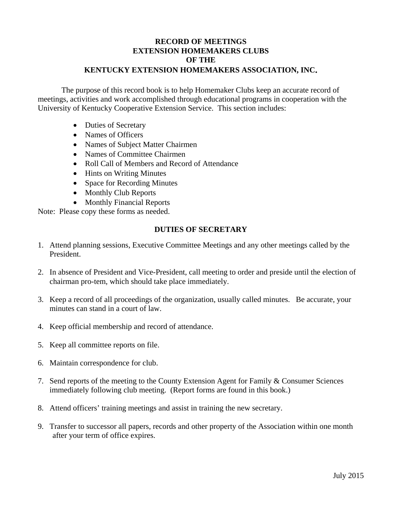#### **RECORD OF MEETINGS EXTENSION HOMEMAKERS CLUBS OF THE KENTUCKY EXTENSION HOMEMAKERS ASSOCIATION, INC.**

The purpose of this record book is to help Homemaker Clubs keep an accurate record of meetings, activities and work accomplished through educational programs in cooperation with the University of Kentucky Cooperative Extension Service. This section includes:

- Duties of Secretary
- Names of Officers
- Names of Subject Matter Chairmen
- Names of Committee Chairmen
- Roll Call of Members and Record of Attendance
- Hints on Writing Minutes
- Space for Recording Minutes
- Monthly Club Reports
- Monthly Financial Reports

Note: Please copy these forms as needed.

#### **DUTIES OF SECRETARY**

- 1. Attend planning sessions, Executive Committee Meetings and any other meetings called by the President.
- 2. In absence of President and Vice-President, call meeting to order and preside until the election of chairman pro-tem, which should take place immediately.
- 3. Keep a record of all proceedings of the organization, usually called minutes. Be accurate, your minutes can stand in a court of law.
- 4. Keep official membership and record of attendance.
- 5. Keep all committee reports on file.
- 6. Maintain correspondence for club.
- 7. Send reports of the meeting to the County Extension Agent for Family & Consumer Sciences immediately following club meeting. (Report forms are found in this book.)
- 8. Attend officers' training meetings and assist in training the new secretary.
- 9. Transfer to successor all papers, records and other property of the Association within one month after your term of office expires.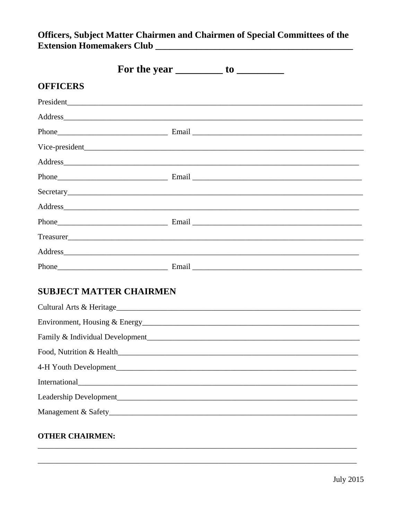### Officers, Subject Matter Chairmen and Chairmen of Special Committees of the

|                                                                                                                                                                                                                                | For the year $\_\_\_\_\_$ to $\_\_\_\_\_\_\_\_$                                                                                                                                                                                |
|--------------------------------------------------------------------------------------------------------------------------------------------------------------------------------------------------------------------------------|--------------------------------------------------------------------------------------------------------------------------------------------------------------------------------------------------------------------------------|
| <b>OFFICERS</b>                                                                                                                                                                                                                |                                                                                                                                                                                                                                |
|                                                                                                                                                                                                                                | President experience and the contract of the contract of the contract of the contract of the contract of the contract of the contract of the contract of the contract of the contract of the contract of the contract of the c |
|                                                                                                                                                                                                                                | Address and the contract of the contract of the contract of the contract of the contract of the contract of the contract of the contract of the contract of the contract of the contract of the contract of the contract of th |
|                                                                                                                                                                                                                                |                                                                                                                                                                                                                                |
|                                                                                                                                                                                                                                |                                                                                                                                                                                                                                |
| Address and the contract of the contract of the contract of the contract of the contract of the contract of the contract of the contract of the contract of the contract of the contract of the contract of the contract of th |                                                                                                                                                                                                                                |
|                                                                                                                                                                                                                                |                                                                                                                                                                                                                                |
|                                                                                                                                                                                                                                |                                                                                                                                                                                                                                |
|                                                                                                                                                                                                                                |                                                                                                                                                                                                                                |
|                                                                                                                                                                                                                                |                                                                                                                                                                                                                                |
|                                                                                                                                                                                                                                |                                                                                                                                                                                                                                |
|                                                                                                                                                                                                                                | Address and the contract of the contract of the contract of the contract of the contract of the contract of the contract of the contract of the contract of the contract of the contract of the contract of the contract of th |
|                                                                                                                                                                                                                                |                                                                                                                                                                                                                                |
| <b>SUBJECT MATTER CHAIRMEN</b>                                                                                                                                                                                                 |                                                                                                                                                                                                                                |
|                                                                                                                                                                                                                                |                                                                                                                                                                                                                                |
|                                                                                                                                                                                                                                |                                                                                                                                                                                                                                |
|                                                                                                                                                                                                                                |                                                                                                                                                                                                                                |
| Food, Nutrition & Health                                                                                                                                                                                                       |                                                                                                                                                                                                                                |
|                                                                                                                                                                                                                                |                                                                                                                                                                                                                                |
|                                                                                                                                                                                                                                |                                                                                                                                                                                                                                |
|                                                                                                                                                                                                                                |                                                                                                                                                                                                                                |
|                                                                                                                                                                                                                                |                                                                                                                                                                                                                                |

#### **OTHER CHAIRMEN:**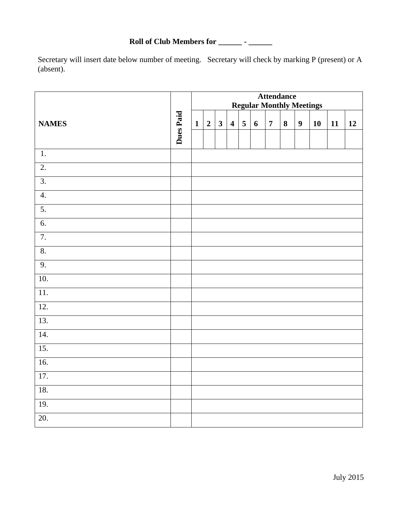Roll of Club Members for \_\_\_\_\_\_\_\_\_ - \_\_\_\_\_\_\_

Secretary will insert date below number of meeting. Secretary will check by marking P (present) or A (absent).

|                   |           |              | <b>Attendance</b><br><b>Regular Monthly Meetings</b> |                         |                         |   |                  |                |   |                  |    |    |    |
|-------------------|-----------|--------------|------------------------------------------------------|-------------------------|-------------------------|---|------------------|----------------|---|------------------|----|----|----|
| <b>NAMES</b>      | Dues Paid | $\mathbf{1}$ | $\boldsymbol{2}$                                     | $\overline{\mathbf{3}}$ | $\overline{\mathbf{4}}$ | 5 | $\boldsymbol{6}$ | $\overline{7}$ | 8 | $\boldsymbol{9}$ | 10 | 11 | 12 |
| $\overline{1}$ .  |           |              |                                                      |                         |                         |   |                  |                |   |                  |    |    |    |
| $\overline{2}$ .  |           |              |                                                      |                         |                         |   |                  |                |   |                  |    |    |    |
| $\overline{3}$ .  |           |              |                                                      |                         |                         |   |                  |                |   |                  |    |    |    |
| 4.                |           |              |                                                      |                         |                         |   |                  |                |   |                  |    |    |    |
| 5.                |           |              |                                                      |                         |                         |   |                  |                |   |                  |    |    |    |
| 6.                |           |              |                                                      |                         |                         |   |                  |                |   |                  |    |    |    |
| $\overline{7}$ .  |           |              |                                                      |                         |                         |   |                  |                |   |                  |    |    |    |
| 8.                |           |              |                                                      |                         |                         |   |                  |                |   |                  |    |    |    |
| 9.                |           |              |                                                      |                         |                         |   |                  |                |   |                  |    |    |    |
| 10.               |           |              |                                                      |                         |                         |   |                  |                |   |                  |    |    |    |
| $\overline{11}$ . |           |              |                                                      |                         |                         |   |                  |                |   |                  |    |    |    |
| 12.               |           |              |                                                      |                         |                         |   |                  |                |   |                  |    |    |    |
| 13.               |           |              |                                                      |                         |                         |   |                  |                |   |                  |    |    |    |
| 14.               |           |              |                                                      |                         |                         |   |                  |                |   |                  |    |    |    |
| $\overline{15}$ . |           |              |                                                      |                         |                         |   |                  |                |   |                  |    |    |    |
| 16.               |           |              |                                                      |                         |                         |   |                  |                |   |                  |    |    |    |
| 17.               |           |              |                                                      |                         |                         |   |                  |                |   |                  |    |    |    |
| 18.               |           |              |                                                      |                         |                         |   |                  |                |   |                  |    |    |    |
| 19.               |           |              |                                                      |                         |                         |   |                  |                |   |                  |    |    |    |
| 20.               |           |              |                                                      |                         |                         |   |                  |                |   |                  |    |    |    |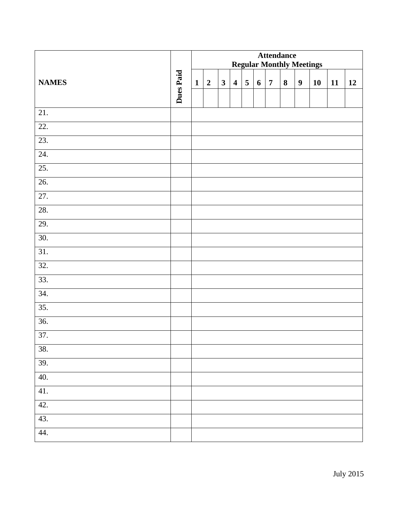|                   |           | <b>Attendance</b><br><b>Regular Monthly Meetings</b> |                  |              |                         |                         |                  |                |          |                  |    |    |    |
|-------------------|-----------|------------------------------------------------------|------------------|--------------|-------------------------|-------------------------|------------------|----------------|----------|------------------|----|----|----|
| <b>NAMES</b>      | Dues Paid | $\mathbf{1}$                                         | $\boldsymbol{2}$ | $\mathbf{3}$ | $\overline{\mathbf{4}}$ | $\overline{\mathbf{5}}$ | $\boldsymbol{6}$ | $\overline{7}$ | $\bf{8}$ | $\boldsymbol{9}$ | 10 | 11 | 12 |
| 21.               |           |                                                      |                  |              |                         |                         |                  |                |          |                  |    |    |    |
| 22.               |           |                                                      |                  |              |                         |                         |                  |                |          |                  |    |    |    |
| 23.               |           |                                                      |                  |              |                         |                         |                  |                |          |                  |    |    |    |
| 24.               |           |                                                      |                  |              |                         |                         |                  |                |          |                  |    |    |    |
| 25.               |           |                                                      |                  |              |                         |                         |                  |                |          |                  |    |    |    |
| 26.               |           |                                                      |                  |              |                         |                         |                  |                |          |                  |    |    |    |
| 27.               |           |                                                      |                  |              |                         |                         |                  |                |          |                  |    |    |    |
| 28.               |           |                                                      |                  |              |                         |                         |                  |                |          |                  |    |    |    |
| 29.               |           |                                                      |                  |              |                         |                         |                  |                |          |                  |    |    |    |
| 30.               |           |                                                      |                  |              |                         |                         |                  |                |          |                  |    |    |    |
| 31.               |           |                                                      |                  |              |                         |                         |                  |                |          |                  |    |    |    |
| $\overline{32}$ . |           |                                                      |                  |              |                         |                         |                  |                |          |                  |    |    |    |
| 33.               |           |                                                      |                  |              |                         |                         |                  |                |          |                  |    |    |    |
| 34.               |           |                                                      |                  |              |                         |                         |                  |                |          |                  |    |    |    |
| $\overline{35}$ . |           |                                                      |                  |              |                         |                         |                  |                |          |                  |    |    |    |
| 36.               |           |                                                      |                  |              |                         |                         |                  |                |          |                  |    |    |    |
| 37.               |           |                                                      |                  |              |                         |                         |                  |                |          |                  |    |    |    |
| 38.               |           |                                                      |                  |              |                         |                         |                  |                |          |                  |    |    |    |
| 39.               |           |                                                      |                  |              |                         |                         |                  |                |          |                  |    |    |    |
| 40.               |           |                                                      |                  |              |                         |                         |                  |                |          |                  |    |    |    |
| 41.               |           |                                                      |                  |              |                         |                         |                  |                |          |                  |    |    |    |
| 42.               |           |                                                      |                  |              |                         |                         |                  |                |          |                  |    |    |    |
| 43.               |           |                                                      |                  |              |                         |                         |                  |                |          |                  |    |    |    |
| 44.               |           |                                                      |                  |              |                         |                         |                  |                |          |                  |    |    |    |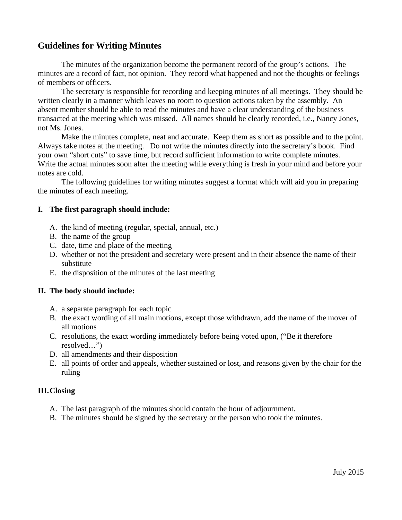#### **Guidelines for Writing Minutes**

The minutes of the organization become the permanent record of the group's actions. The minutes are a record of fact, not opinion. They record what happened and not the thoughts or feelings of members or officers.

 The secretary is responsible for recording and keeping minutes of all meetings. They should be written clearly in a manner which leaves no room to question actions taken by the assembly. An absent member should be able to read the minutes and have a clear understanding of the business transacted at the meeting which was missed. All names should be clearly recorded, i.e., Nancy Jones, not Ms. Jones.

 Make the minutes complete, neat and accurate. Keep them as short as possible and to the point. Always take notes at the meeting. Do not write the minutes directly into the secretary's book. Find your own "short cuts" to save time, but record sufficient information to write complete minutes. Write the actual minutes soon after the meeting while everything is fresh in your mind and before your notes are cold.

 The following guidelines for writing minutes suggest a format which will aid you in preparing the minutes of each meeting.

#### **I. The first paragraph should include:**

- A. the kind of meeting (regular, special, annual, etc.)
- B. the name of the group
- C. date, time and place of the meeting
- D. whether or not the president and secretary were present and in their absence the name of their substitute
- E. the disposition of the minutes of the last meeting

#### **II. The body should include:**

- A. a separate paragraph for each topic
- B. the exact wording of all main motions, except those withdrawn, add the name of the mover of all motions
- C. resolutions, the exact wording immediately before being voted upon, ("Be it therefore resolved…")
- D. all amendments and their disposition
- E. all points of order and appeals, whether sustained or lost, and reasons given by the chair for the ruling

#### **III.Closing**

- A. The last paragraph of the minutes should contain the hour of adjournment.
- B. The minutes should be signed by the secretary or the person who took the minutes.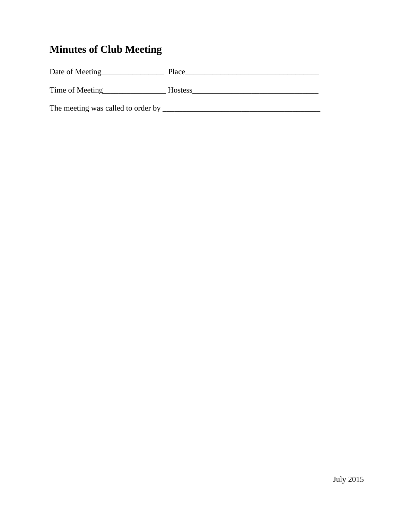## **Minutes of Club Meeting**

| Date of Meeting                    | Place          |
|------------------------------------|----------------|
| Time of Meeting                    | <b>Hostess</b> |
| The meeting was called to order by |                |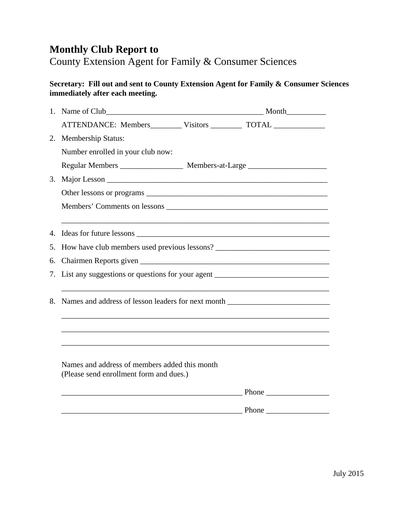## **Monthly Club Report to**

County Extension Agent for Family & Consumer Sciences

#### **Secretary: Fill out and sent to County Extension Agent for Family & Consumer Sciences immediately after each meeting.**

|    | ATTENDANCE: Members__________ Visitors ___________ TOTAL _______________________         |              |
|----|------------------------------------------------------------------------------------------|--------------|
|    | 2. Membership Status:                                                                    |              |
|    | Number enrolled in your club now:                                                        |              |
|    | Regular Members ________________________ Members-at-Large ______________________         |              |
| 3. |                                                                                          |              |
|    |                                                                                          |              |
|    |                                                                                          |              |
|    |                                                                                          |              |
|    |                                                                                          |              |
| 5. | How have club members used previous lessons? ___________________________________         |              |
| 6. |                                                                                          |              |
| 7. | List any suggestions or questions for your agent _______________________________         |              |
| 8. | Names and address of lesson leaders for next month _____________________________         |              |
|    |                                                                                          |              |
|    | Names and address of members added this month<br>(Please send enrollment form and dues.) |              |
|    |                                                                                          |              |
|    |                                                                                          | <u>Phone</u> |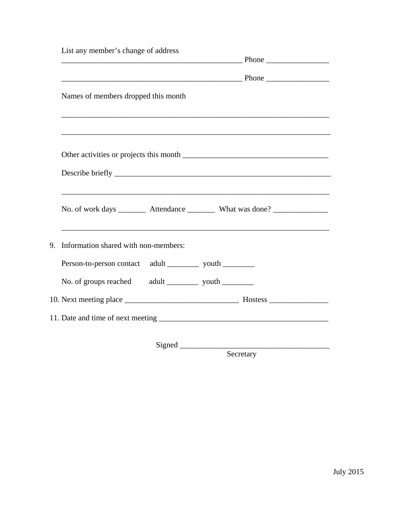|                                                                                                                                                                                                                               |  | <u>Phone</u>                                                                                                     |
|-------------------------------------------------------------------------------------------------------------------------------------------------------------------------------------------------------------------------------|--|------------------------------------------------------------------------------------------------------------------|
|                                                                                                                                                                                                                               |  |                                                                                                                  |
| Names of members dropped this month                                                                                                                                                                                           |  |                                                                                                                  |
|                                                                                                                                                                                                                               |  |                                                                                                                  |
|                                                                                                                                                                                                                               |  |                                                                                                                  |
| Describe briefly the contract of the contract of the contract of the contract of the contract of the contract of the contract of the contract of the contract of the contract of the contract of the contract of the contract |  |                                                                                                                  |
| No. of work days __________ Attendance ____________ What was done?                                                                                                                                                            |  | <u> 1989 - Johann Stoff, amerikansk politiker (d. 1989)</u>                                                      |
| 9. Information shared with non-members:                                                                                                                                                                                       |  | and the control of the control of the control of the control of the control of the control of the control of the |
| Person-to-person contact adult ___________ youth _________                                                                                                                                                                    |  |                                                                                                                  |
|                                                                                                                                                                                                                               |  |                                                                                                                  |
|                                                                                                                                                                                                                               |  |                                                                                                                  |
|                                                                                                                                                                                                                               |  |                                                                                                                  |

**Secretary**